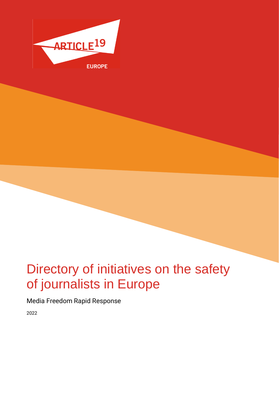

# Directory of initiatives on the safety of journalists in Europe

Media Freedom Rapid Response

2022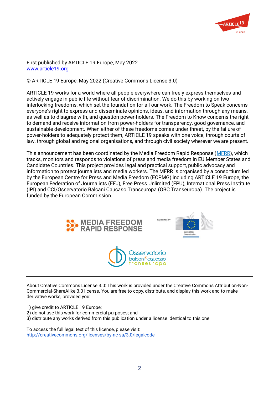

First published by ARTICLE 19 Europe, May 2022 [www.article19.org](http://www.article19.org/)

© ARTICLE 19 Europe, May 2022 (Creative Commons License 3.0)

ARTICLE 19 works for a world where all people everywhere can freely express themselves and actively engage in public life without fear of discrimination. We do this by working on two interlocking freedoms, which set the foundation for all our work. The Freedom to Speak concerns everyone's right to express and disseminate opinions, ideas, and information through any means, as well as to disagree with, and question power-holders. The Freedom to Know concerns the right to demand and receive information from power-holders for transparency, good governance, and sustainable development. When either of these freedoms comes under threat, by the failure of power-holders to adequately protect them, ARTICLE 19 speaks with one voice, through courts of law, through global and regional organisations, and through civil society wherever we are present.

This announcement has been coordinated by the Media Freedom Rapid Response [\(MFRR\)](https://www.mfrr.eu/), which tracks, monitors and responds to violations of press and media freedom in EU Member States and Candidate Countries. This project provides legal and practical support, public advocacy and information to protect journalists and media workers. The MFRR is organised by a consortium led by the European Centre for Press and Media Freedom (ECPMG) including ARTICLE 19 Europe, the European Federation of Journalists (EFJ), Free Press Unlimited (FPU), International Press Institute (IPI) and CCI/Osservatorio Balcani Caucaso Transeuropa (OBC Transeuropa). The project is funded by the European Commission.



About Creative Commons License 3.0: This work is provided under the Creative Commons Attribution-Non-Commercial-ShareAlike 3.0 license. You are free to copy, distribute, and display this work and to make derivative works, provided you:

1) give credit to ARTICLE 19 Europe;

- 2) do not use this work for commercial purposes; and
- 3) distribute any works derived from this publication under a license identical to this one.

To access the full legal text of this license, please visit: <http://creativecommons.org/licenses/by-nc-sa/3.0/legalcode>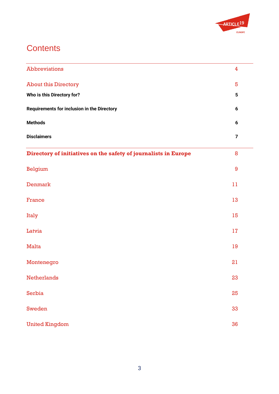

### **Contents**

| <b>Abbreviations</b>                                            | 4              |
|-----------------------------------------------------------------|----------------|
| <b>About this Directory</b>                                     | 5              |
| Who is this Directory for?                                      | $5\phantom{1}$ |
| <b>Requirements for inclusion in the Directory</b>              | 6              |
| <b>Methods</b>                                                  | 6              |
| <b>Disclaimers</b>                                              | $\overline{7}$ |
| Directory of initiatives on the safety of journalists in Europe | 8              |
| <b>Belgium</b>                                                  | 9              |
| Denmark                                                         | 11             |
| France                                                          | 13             |
| Italy                                                           | 15             |
| Latvia                                                          | 17             |
| <b>Malta</b>                                                    | 19             |
| Montenegro                                                      | 21             |
| <b>Netherlands</b>                                              | 23             |
| Serbia                                                          | 25             |
| <b>Sweden</b>                                                   | 33             |
| <b>United Kingdom</b>                                           | 36             |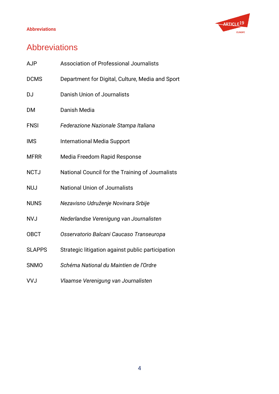#### **Abbreviations**



### <span id="page-3-0"></span>Abbreviations

| <b>AJP</b>    | <b>Association of Professional Journalists</b>    |
|---------------|---------------------------------------------------|
| <b>DCMS</b>   | Department for Digital, Culture, Media and Sport  |
| <b>DJ</b>     | <b>Danish Union of Journalists</b>                |
| <b>DM</b>     | Danish Media                                      |
| <b>FNSI</b>   | Federazione Nazionale Stampa Italiana             |
| <b>IMS</b>    | <b>International Media Support</b>                |
| <b>MFRR</b>   | Media Freedom Rapid Response                      |
| <b>NCTJ</b>   | National Council for the Training of Journalists  |
| <b>NUJ</b>    | <b>National Union of Journalists</b>              |
| <b>NUNS</b>   | Nezavisno Udruženje Novinara Srbije               |
| <b>NVJ</b>    | Nederlandse Verenigung van Journalisten           |
| <b>OBCT</b>   | Osservatorio Balcani Caucaso Transeuropa          |
| <b>SLAPPS</b> | Strategic litigation against public participation |
| <b>SNMO</b>   | Schéma National du Maintien de l'Ordre            |
| <b>VVJ</b>    | Vlaamse Verenigung van Journalisten               |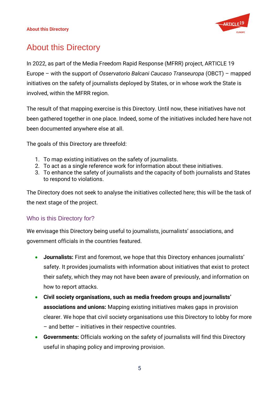

### <span id="page-4-0"></span>About this Directory

In 2022, as part of the Media Freedom Rapid Response (MFRR) project, ARTICLE 19 Europe – with the support of *Osservatorio Balcani Caucaso Transeuropa* (OBCT) – mapped initiatives on the safety of journalists deployed by States, or in whose work the State is involved, within the MFRR region.

The result of that mapping exercise is this Directory. Until now, these initiatives have not been gathered together in one place. Indeed, some of the initiatives included here have not been documented anywhere else at all.

The goals of this Directory are threefold:

- 1. To map existing initiatives on the safety of journalists.
- 2. To act as a single reference work for information about these initiatives.
- 3. To enhance the safety of journalists and the capacity of both journalists and States to respond to violations.

The Directory does not seek to analyse the initiatives collected here; this will be the task of the next stage of the project.

#### <span id="page-4-1"></span>Who is this Directory for?

We envisage this Directory being useful to journalists, journalists' associations, and government officials in the countries featured.

- **Journalists:** First and foremost, we hope that this Directory enhances journalists' safety. It provides journalists with information about initiatives that exist to protect their safety, which they may not have been aware of previously, and information on how to report attacks.
- **Civil society organisations, such as media freedom groups and journalists' associations and unions:** Mapping existing initiatives makes gaps in provision clearer. We hope that civil society organisations use this Directory to lobby for more – and better – initiatives in their respective countries.
- **Governments:** Officials working on the safety of journalists will find this Directory useful in shaping policy and improving provision.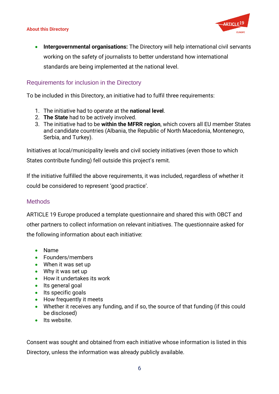#### **About this Directory**



• **Intergovernmental organisations:** The Directory will help international civil servants working on the safety of journalists to better understand how international standards are being implemented at the national level.

#### <span id="page-5-0"></span>Requirements for inclusion in the Directory

To be included in this Directory, an initiative had to fulfil three requirements:

- 1. The initiative had to operate at the **national level**.
- 2. **The State** had to be actively involved.
- 3. The initiative had to be **within the MFRR region**, which covers all EU member States and candidate countries (Albania, the Republic of North Macedonia, Montenegro, Serbia, and Turkey).

Initiatives at local/municipality levels and civil society initiatives (even those to which States contribute funding) fell outside this project's remit.

If the initiative fulfilled the above requirements, it was included, regardless of whether it could be considered to represent 'good practice'.

#### <span id="page-5-1"></span>**Methods**

ARTICLE 19 Europe produced a template questionnaire and shared this with OBCT and other partners to collect information on relevant initiatives. The questionnaire asked for the following information about each initiative:

- Name
- Founders/members
- When it was set up
- Why it was set up
- How it undertakes its work
- Its general goal
- Its specific goals
- How frequently it meets
- Whether it receives any funding, and if so, the source of that funding (if this could be disclosed)
- Its website.

Consent was sought and obtained from each initiative whose information is listed in this Directory, unless the information was already publicly available.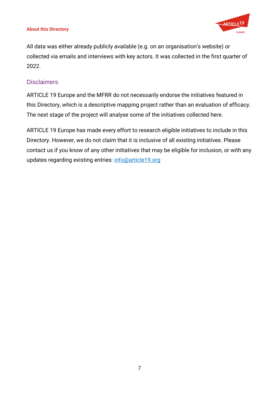#### **About this Directory**



All data was either already publicly available (e.g. on an organisation's website) or collected via emails and interviews with key actors. It was collected in the first quarter of 2022.

#### <span id="page-6-0"></span>**Disclaimers**

ARTICLE 19 Europe and the MFRR do not necessarily endorse the initiatives featured in this Directory, which is a descriptive mapping project rather than an evaluation of efficacy. The next stage of the project will analyse some of the initiatives collected here.

ARTICLE 19 Europe has made every effort to research eligible initiatives to include in this Directory. However, we do not claim that it is inclusive of all existing initiatives. Please contact us if you know of any other initiatives that may be eligible for inclusion, or with any updates regarding existing entries: info@article19.org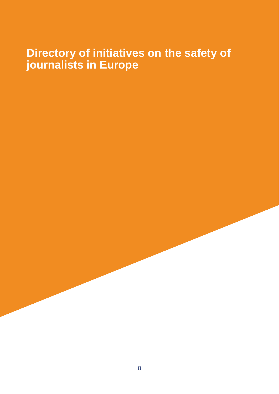# <span id="page-7-0"></span>**Directory of initiatives on the safety of journalists in Europe**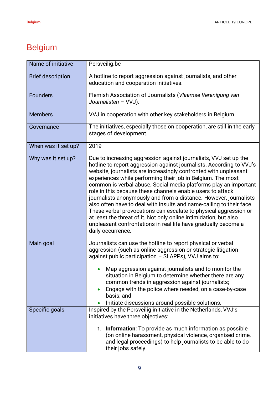# <span id="page-8-0"></span>Belgium

| Name of initiative       | Persveilig.be                                                                                                                                                                                                                                                                                                                                                                                                                                                                                                                                                                                                                                                                                                                                                                              |
|--------------------------|--------------------------------------------------------------------------------------------------------------------------------------------------------------------------------------------------------------------------------------------------------------------------------------------------------------------------------------------------------------------------------------------------------------------------------------------------------------------------------------------------------------------------------------------------------------------------------------------------------------------------------------------------------------------------------------------------------------------------------------------------------------------------------------------|
| <b>Brief description</b> | A hotline to report aggression against journalists, and other<br>education and cooperation initiatives.                                                                                                                                                                                                                                                                                                                                                                                                                                                                                                                                                                                                                                                                                    |
| <b>Founders</b>          | Flemish Association of Journalists (Vlaamse Verenigung van<br>Journalisten - VVJ).                                                                                                                                                                                                                                                                                                                                                                                                                                                                                                                                                                                                                                                                                                         |
| <b>Members</b>           | VVJ in cooperation with other key stakeholders in Belgium.                                                                                                                                                                                                                                                                                                                                                                                                                                                                                                                                                                                                                                                                                                                                 |
| Governance               | The initiatives, especially those on cooperation, are still in the early<br>stages of development.                                                                                                                                                                                                                                                                                                                                                                                                                                                                                                                                                                                                                                                                                         |
| When was it set up?      | 2019                                                                                                                                                                                                                                                                                                                                                                                                                                                                                                                                                                                                                                                                                                                                                                                       |
| Why was it set up?       | Due to increasing aggression against journalists, VVJ set up the<br>hotline to report aggression against journalists. According to VVJ's<br>website, journalists are increasingly confronted with unpleasant<br>experiences while performing their job in Belgium. The most<br>common is verbal abuse. Social media platforms play an important<br>role in this because these channels enable users to attack<br>journalists anonymously and from a distance. However, journalists<br>also often have to deal with insults and name-calling to their face.<br>These verbal provocations can escalate to physical aggression or<br>at least the threat of it. Not only online intimidation, but also<br>unpleasant confrontations in real life have gradually become a<br>daily occurrence. |
| Main goal                | Journalists can use the hotline to report physical or verbal<br>aggression (such as online aggression or strategic litigation<br>against public participation - SLAPPs), VVJ aims to:<br>• Map aggression against journalists and to monitor the<br>situation in Belgium to determine whether there are any<br>common trends in aggression against journalists;<br>Engage with the police where needed, on a case-by-case<br>$\bullet$<br>basis; and<br>Initiate discussions around possible solutions.                                                                                                                                                                                                                                                                                    |
| Specific goals           | Inspired by the Persveilig initiative in the Netherlands, VVJ's                                                                                                                                                                                                                                                                                                                                                                                                                                                                                                                                                                                                                                                                                                                            |
|                          | initiatives have three objectives:<br>1. Information: To provide as much information as possible<br>(on online harassment, physical violence, organised crime,<br>and legal proceedings) to help journalists to be able to do<br>their jobs safely.                                                                                                                                                                                                                                                                                                                                                                                                                                                                                                                                        |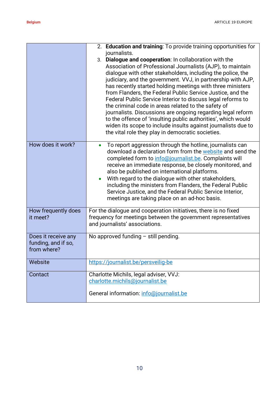|                                                           | 2. Education and training: To provide training opportunities for<br>journalists.<br>3. Dialogue and cooperation: In collaboration with the<br>Association of Professional Journalists (AJP), to maintain<br>dialogue with other stakeholders, including the police, the<br>judiciary, and the government. VVJ, in partnership with AJP,<br>has recently started holding meetings with three ministers<br>from Flanders, the Federal Public Service Justice, and the<br>Federal Public Service Interior to discuss legal reforms to<br>the criminal code in areas related to the safety of<br>journalists. Discussions are ongoing regarding legal reform<br>to the offence of 'insulting public authorities', which would<br>widen its scope to include insults against journalists due to<br>the vital role they play in democratic societies. |
|-----------------------------------------------------------|-------------------------------------------------------------------------------------------------------------------------------------------------------------------------------------------------------------------------------------------------------------------------------------------------------------------------------------------------------------------------------------------------------------------------------------------------------------------------------------------------------------------------------------------------------------------------------------------------------------------------------------------------------------------------------------------------------------------------------------------------------------------------------------------------------------------------------------------------|
| How does it work?                                         | To report aggression through the hotline, journalists can<br>$\bullet$<br>download a declaration form from the website and send the<br>completed form to info@journalist.be. Complaints will<br>receive an immediate response, be closely monitored, and<br>also be published on international platforms.<br>With regard to the dialogue with other stakeholders,<br>$\bullet$<br>including the ministers from Flanders, the Federal Public<br>Service Justice, and the Federal Public Service Interior,<br>meetings are taking place on an ad-hoc basis.                                                                                                                                                                                                                                                                                       |
| How frequently does<br>it meet?                           | For the dialogue and cooperation initiatives, there is no fixed<br>frequency for meetings between the government representatives<br>and journalists' associations.                                                                                                                                                                                                                                                                                                                                                                                                                                                                                                                                                                                                                                                                              |
| Does it receive any<br>funding, and if so,<br>from where? | No approved funding $-$ still pending.                                                                                                                                                                                                                                                                                                                                                                                                                                                                                                                                                                                                                                                                                                                                                                                                          |
| Website                                                   | https://journalist.be/persveilig-be                                                                                                                                                                                                                                                                                                                                                                                                                                                                                                                                                                                                                                                                                                                                                                                                             |
| Contact                                                   | Charlotte Michils, legal adviser, VVJ:<br>charlotte.michils@journalist.be<br>General information: info@journalist.be                                                                                                                                                                                                                                                                                                                                                                                                                                                                                                                                                                                                                                                                                                                            |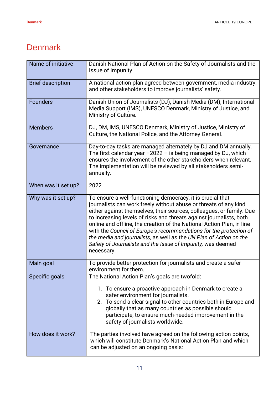#### <span id="page-10-0"></span>**Denmark**

| Name of initiative       | Danish National Plan of Action on the Safety of Journalists and the<br>Issue of Impunity                                                                                                                                                                                                                                                                                                                                                                                                                                                                                        |
|--------------------------|---------------------------------------------------------------------------------------------------------------------------------------------------------------------------------------------------------------------------------------------------------------------------------------------------------------------------------------------------------------------------------------------------------------------------------------------------------------------------------------------------------------------------------------------------------------------------------|
| <b>Brief description</b> | A national action plan agreed between government, media industry,<br>and other stakeholders to improve journalists' safety.                                                                                                                                                                                                                                                                                                                                                                                                                                                     |
| <b>Founders</b>          | Danish Union of Journalists (DJ), Danish Media (DM), International<br>Media Support (IMS), UNESCO Denmark, Ministry of Justice, and<br>Ministry of Culture.                                                                                                                                                                                                                                                                                                                                                                                                                     |
| <b>Members</b>           | DJ, DM, IMS, UNESCO Denmark, Ministry of Justice, Ministry of<br>Culture, the National Police, and the Attorney General.                                                                                                                                                                                                                                                                                                                                                                                                                                                        |
| Governance               | Day-to-day tasks are managed alternately by DJ and DM annually.<br>The first calendar year $-2022 - i s$ being managed by DJ, which<br>ensures the involvement of the other stakeholders when relevant.<br>The implementation will be reviewed by all stakeholders semi-<br>annually.                                                                                                                                                                                                                                                                                           |
| When was it set up?      | 2022                                                                                                                                                                                                                                                                                                                                                                                                                                                                                                                                                                            |
| Why was it set up?       | To ensure a well-functioning democracy, it is crucial that<br>journalists can work freely without abuse or threats of any kind<br>either against themselves, their sources, colleagues, or family. Due<br>to increasing levels of risks and threats against journalists, both<br>online and offline, the creation of the National Action Plan, in line<br>with the Council of Europe's recommendations for the protection of<br>the media and journalists, as well as the UN Plan of Action on the<br>Safety of Journalists and the Issue of Impunity, was deemed<br>necessary. |
| Main goal                | To provide better protection for journalists and create a safer<br>environment for them.                                                                                                                                                                                                                                                                                                                                                                                                                                                                                        |
| Specific goals           | The National Action Plan's goals are twofold:                                                                                                                                                                                                                                                                                                                                                                                                                                                                                                                                   |
|                          | 1. To ensure a proactive approach in Denmark to create a<br>safer environment for journalists.<br>2. To send a clear signal to other countries both in Europe and<br>globally that as many countries as possible should<br>participate, to ensure much-needed improvement in the<br>safety of journalists worldwide.                                                                                                                                                                                                                                                            |
| How does it work?        | The parties involved have agreed on the following action points,<br>which will constitute Denmark's National Action Plan and which<br>can be adjusted on an ongoing basis:                                                                                                                                                                                                                                                                                                                                                                                                      |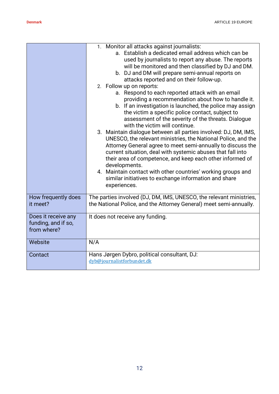|                                                           | 1. Monitor all attacks against journalists:<br>a. Establish a dedicated email address which can be<br>used by journalists to report any abuse. The reports<br>will be monitored and then classified by DJ and DM.<br>b. DJ and DM will prepare semi-annual reports on<br>attacks reported and on their follow-up.<br>2. Follow up on reports:<br>a. Respond to each reported attack with an email<br>providing a recommendation about how to handle it.<br>b. If an investigation is launched, the police may assign<br>the victim a specific police contact, subject to<br>assessment of the severity of the threats. Dialogue<br>with the victim will continue.<br>3. Maintain dialogue between all parties involved: DJ, DM, IMS,<br>UNESCO, the relevant ministries, the National Police, and the<br>Attorney General agree to meet semi-annually to discuss the<br>current situation, deal with systemic abuses that fall into<br>their area of competence, and keep each other informed of<br>developments.<br>4. Maintain contact with other countries' working groups and<br>similar initiatives to exchange information and share<br>experiences. |
|-----------------------------------------------------------|------------------------------------------------------------------------------------------------------------------------------------------------------------------------------------------------------------------------------------------------------------------------------------------------------------------------------------------------------------------------------------------------------------------------------------------------------------------------------------------------------------------------------------------------------------------------------------------------------------------------------------------------------------------------------------------------------------------------------------------------------------------------------------------------------------------------------------------------------------------------------------------------------------------------------------------------------------------------------------------------------------------------------------------------------------------------------------------------------------------------------------------------------------|
| How frequently does<br>it meet?                           | The parties involved (DJ, DM, IMS, UNESCO, the relevant ministries,<br>the National Police, and the Attorney General) meet semi-annually.                                                                                                                                                                                                                                                                                                                                                                                                                                                                                                                                                                                                                                                                                                                                                                                                                                                                                                                                                                                                                  |
| Does it receive any<br>funding, and if so,<br>from where? | It does not receive any funding.                                                                                                                                                                                                                                                                                                                                                                                                                                                                                                                                                                                                                                                                                                                                                                                                                                                                                                                                                                                                                                                                                                                           |
| Website                                                   | N/A                                                                                                                                                                                                                                                                                                                                                                                                                                                                                                                                                                                                                                                                                                                                                                                                                                                                                                                                                                                                                                                                                                                                                        |
| Contact                                                   | Hans Jørgen Dybro, political consultant, DJ:<br>dyb@journalistforbundet.dk                                                                                                                                                                                                                                                                                                                                                                                                                                                                                                                                                                                                                                                                                                                                                                                                                                                                                                                                                                                                                                                                                 |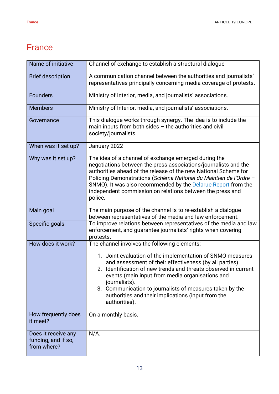### <span id="page-12-0"></span>**France**

| Name of initiative              | Channel of exchange to establish a structural dialogue                                                                                                                                                                                                                                                                                                                                                          |
|---------------------------------|-----------------------------------------------------------------------------------------------------------------------------------------------------------------------------------------------------------------------------------------------------------------------------------------------------------------------------------------------------------------------------------------------------------------|
| <b>Brief description</b>        | A communication channel between the authorities and journalists'<br>representatives principally concerning media coverage of protests.                                                                                                                                                                                                                                                                          |
| <b>Founders</b>                 | Ministry of Interior, media, and journalists' associations.                                                                                                                                                                                                                                                                                                                                                     |
| <b>Members</b>                  | Ministry of Interior, media, and journalists' associations.                                                                                                                                                                                                                                                                                                                                                     |
| Governance                      | This dialogue works through synergy. The idea is to include the<br>main inputs from both sides $-$ the authorities and civil<br>society/journalists.                                                                                                                                                                                                                                                            |
| When was it set up?             | January 2022                                                                                                                                                                                                                                                                                                                                                                                                    |
| Why was it set up?              | The idea of a channel of exchange emerged during the<br>negotiations between the press associations/journalists and the<br>authorities ahead of the release of the new National Scheme for<br>Policing Demonstrations (Schéma National du Maintien de l'Ordre -<br>SNMO). It was also recommended by the <b>Delarue Report</b> from the<br>independent commission on relations between the press and<br>police. |
| Main goal                       | The main purpose of the channel is to re-establish a dialogue<br>between representatives of the media and law enforcement.                                                                                                                                                                                                                                                                                      |
| Specific goals                  | To improve relations between representatives of the media and law<br>enforcement, and guarantee journalists' rights when covering<br>protests.                                                                                                                                                                                                                                                                  |
| How does it work?               | The channel involves the following elements:<br>1. Joint evaluation of the implementation of SNMO measures<br>and assessment of their effectiveness (by all parties).                                                                                                                                                                                                                                           |
|                                 | Identification of new trends and threats observed in current<br>events (main input from media organisations and<br>journalists).<br>3. Communication to journalists of measures taken by the<br>authorities and their implications (input from the<br>authorities).                                                                                                                                             |
| How frequently does<br>it meet? | On a monthly basis.                                                                                                                                                                                                                                                                                                                                                                                             |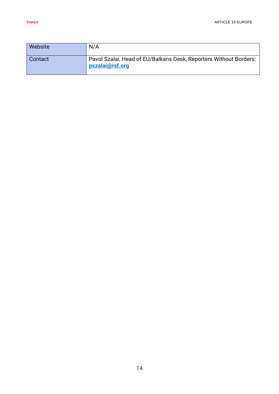| Website | N/A                                                                                  |
|---------|--------------------------------------------------------------------------------------|
| Contact | Pavol Szalai, Head of EU/Balkans Desk, Reporters Without Borders:<br>pszalai@rsf.org |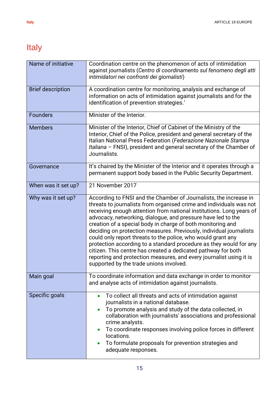# <span id="page-14-0"></span>Italy

| Name of initiative       | Coordination centre on the phenomenon of acts of intimidation<br>against journalists (Centro di coordinamento sul fenomeno degli atti<br>intimidatori nei confronti dei giornalisti)                                                                                                                                                                                                                                                                                                                                                                                                                                                                                                                                                            |
|--------------------------|-------------------------------------------------------------------------------------------------------------------------------------------------------------------------------------------------------------------------------------------------------------------------------------------------------------------------------------------------------------------------------------------------------------------------------------------------------------------------------------------------------------------------------------------------------------------------------------------------------------------------------------------------------------------------------------------------------------------------------------------------|
| <b>Brief description</b> | A coordination centre for monitoring, analysis and exchange of<br>information on acts of intimidation against journalists and for the<br>identification of prevention strategies.'                                                                                                                                                                                                                                                                                                                                                                                                                                                                                                                                                              |
| <b>Founders</b>          | Minister of the Interior.                                                                                                                                                                                                                                                                                                                                                                                                                                                                                                                                                                                                                                                                                                                       |
| <b>Members</b>           | Minister of the Interior, Chief of Cabinet of the Ministry of the<br>Interior, Chief of the Police, president and general secretary of the<br>Italian National Press Federation (Federazione Nazionale Stampa<br>Italiana - FNSI), president and general secretary of the Chamber of<br>Journalists.                                                                                                                                                                                                                                                                                                                                                                                                                                            |
| Governance               | It's chaired by the Minister of the Interior and it operates through a<br>permanent support body based in the Public Security Department.                                                                                                                                                                                                                                                                                                                                                                                                                                                                                                                                                                                                       |
| When was it set up?      | 21 November 2017                                                                                                                                                                                                                                                                                                                                                                                                                                                                                                                                                                                                                                                                                                                                |
| Why was it set up?       | According to FNSI and the Chamber of Journalists, the increase in<br>threats to journalists from organised crime and individuals was not<br>receiving enough attention from national institutions. Long years of<br>advocacy, networking, dialogue, and pressure have led to the<br>creation of a special body in charge of both monitoring and<br>deciding on protection measures. Previously, individual journalists<br>could only report threats to the police, who would grant any<br>protection according to a standard procedure as they would for any<br>citizen. This centre has created a dedicated pathway for both<br>reporting and protection measures, and every journalist using it is<br>supported by the trade unions involved. |
| Main goal                | To coordinate information and data exchange in order to monitor<br>and analyse acts of intimidation against journalists.                                                                                                                                                                                                                                                                                                                                                                                                                                                                                                                                                                                                                        |
| Specific goals           | To collect all threats and acts of intimidation against<br>journalists in a national database.<br>To promote analysis and study of the data collected, in<br>collaboration with journalists' associations and professional<br>crime analysts.<br>To coordinate responses involving police forces in different<br>locations.<br>To formulate proposals for prevention strategies and<br>adequate responses.                                                                                                                                                                                                                                                                                                                                      |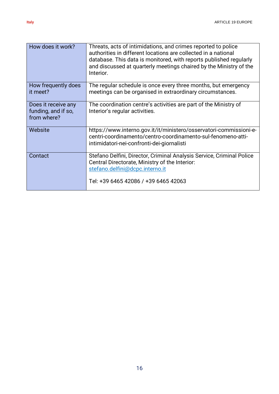| How does it work?                                         | Threats, acts of intimidations, and crimes reported to police<br>authorities in different locations are collected in a national<br>database. This data is monitored, with reports published regularly<br>and discussed at quarterly meetings chaired by the Ministry of the<br>Interior. |
|-----------------------------------------------------------|------------------------------------------------------------------------------------------------------------------------------------------------------------------------------------------------------------------------------------------------------------------------------------------|
| How frequently does<br>it meet?                           | The regular schedule is once every three months, but emergency<br>meetings can be organised in extraordinary circumstances.                                                                                                                                                              |
| Does it receive any<br>funding, and if so,<br>from where? | The coordination centre's activities are part of the Ministry of<br>Interior's regular activities.                                                                                                                                                                                       |
| Website                                                   | https://www.interno.gov.it/it/ministero/osservatori-commissioni-e-<br>centri-coordinamento/centro-coordinamento-sul-fenomeno-atti-<br>intimidatori-nei-confronti-dei-giornalisti                                                                                                         |
| Contact                                                   | Stefano Delfini, Director, Criminal Analysis Service, Criminal Police<br>Central Directorate, Ministry of the Interior:<br>stefano.delfini@dcpc.interno.it<br>Tel: +39 6465 42086 / +39 6465 42063                                                                                       |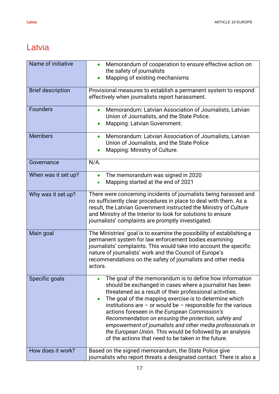### <span id="page-16-0"></span>Latvia

| Name of initiative       | Memorandum of cooperation to ensure effective action on                                                                           |
|--------------------------|-----------------------------------------------------------------------------------------------------------------------------------|
|                          | the safety of journalists<br>Mapping of existing mechanisms                                                                       |
|                          |                                                                                                                                   |
| <b>Brief description</b> | Provisional measures to establish a permanent system to respond                                                                   |
|                          | effectively when journalists report harassment.                                                                                   |
| <b>Founders</b>          | Memorandum: Latvian Association of Journalists, Latvian                                                                           |
|                          | Union of Journalists, and the State Police.                                                                                       |
|                          | Mapping: Latvian Government.<br>$\bullet$                                                                                         |
| <b>Members</b>           | Memorandum: Latvian Association of Journalists, Latvian<br>$\bullet$                                                              |
|                          | Union of Journalists, and the State Police                                                                                        |
|                          | Mapping: Ministry of Culture.                                                                                                     |
| Governance               | $N/A$ .                                                                                                                           |
| When was it set up?      | The memorandum was signed in 2020<br>$\bullet$                                                                                    |
|                          | Mapping started at the end of 2021                                                                                                |
| Why was it set up?       | There were concerning incidents of journalists being harassed and                                                                 |
|                          | no sufficiently clear procedures in place to deal with them. As a                                                                 |
|                          | result, the Latvian Government instructed the Ministry of Culture<br>and Ministry of the Interior to look for solutions to ensure |
|                          | journalists' complaints are promptly investigated.                                                                                |
|                          |                                                                                                                                   |
| Main goal                | The Ministries' goal is to examine the possibility of establishing a                                                              |
|                          | permanent system for law enforcement bodies examining<br>journalists' complaints. This would take into account the specific       |
|                          | nature of journalists' work and the Council of Europe's                                                                           |
|                          | recommendations on the safety of journalists and other media                                                                      |
|                          | actors.                                                                                                                           |
| Specific goals           | The goal of the memorandum is to define how information                                                                           |
|                          | should be exchanged in cases where a journalist has been                                                                          |
|                          | threatened as a result of their professional activities.                                                                          |
|                          | The goal of the mapping exercise is to determine which<br>institutions are $-$ or would be $-$ responsible for the various        |
|                          | actions foreseen in the European Commission's                                                                                     |
|                          | Recommendation on ensuring the protection, safety and                                                                             |
|                          | empowerment of journalists and other media professionals in                                                                       |
|                          | the European Union. This would be followed by an analysis<br>of the actions that need to be taken in the future.                  |
|                          |                                                                                                                                   |
| How does it work?        | Based on the signed memorandum, the State Police give                                                                             |
|                          | journalists who report threats a designated contact. There is also a                                                              |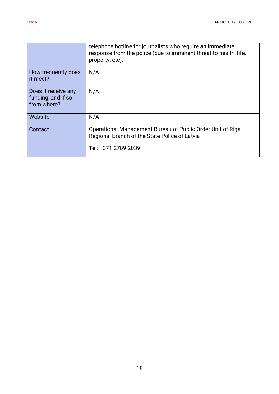|                                                           | telephone hotline for journalists who require an immediate<br>response from the police (due to imminent threat to health, life,<br>property, etc). |
|-----------------------------------------------------------|----------------------------------------------------------------------------------------------------------------------------------------------------|
| How frequently does<br>it meet?                           | $N/A$ .                                                                                                                                            |
| Does it receive any<br>funding, and if so,<br>from where? | $N/A$ .                                                                                                                                            |
| Website                                                   | N/A                                                                                                                                                |
| Contact                                                   | Operational Management Bureau of Public Order Unit of Riga<br>Regional Branch of the State Police of Latvia<br>Tel: +371 2789 2039                 |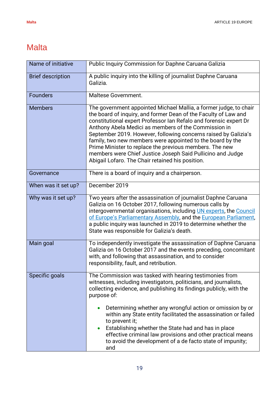### <span id="page-18-0"></span>**Malta**

| Name of initiative       | Public Inquiry Commission for Daphne Caruana Galizia                                                                                                                                                                                                                                                                                                                                                                                                                                                                                                                            |
|--------------------------|---------------------------------------------------------------------------------------------------------------------------------------------------------------------------------------------------------------------------------------------------------------------------------------------------------------------------------------------------------------------------------------------------------------------------------------------------------------------------------------------------------------------------------------------------------------------------------|
| <b>Brief description</b> | A public inquiry into the killing of journalist Daphne Caruana<br>Galizia.                                                                                                                                                                                                                                                                                                                                                                                                                                                                                                      |
| <b>Founders</b>          | Maltese Government.                                                                                                                                                                                                                                                                                                                                                                                                                                                                                                                                                             |
| <b>Members</b>           | The government appointed Michael Mallia, a former judge, to chair<br>the board of inquiry, and former Dean of the Faculty of Law and<br>constitutional expert Professor Ian Refalo and forensic expert Dr<br>Anthony Abela Medici as members of the Commission in<br>September 2019. However, following concerns raised by Galizia's<br>family, two new members were appointed to the board by the<br>Prime Minister to replace the previous members. The new<br>members were Chief Justice Joseph Said Pullicino and Judge<br>Abigail Lofaro. The Chair retained his position. |
| Governance               | There is a board of inquiry and a chairperson.                                                                                                                                                                                                                                                                                                                                                                                                                                                                                                                                  |
| When was it set up?      | December 2019                                                                                                                                                                                                                                                                                                                                                                                                                                                                                                                                                                   |
| Why was it set up?       | Two years after the assassination of journalist Daphne Caruana<br>Galizia on 16 October 2017, following numerous calls by<br>intergovernmental organisations, including <i>UN</i> experts, the Council<br>of Europe's Parliamentary Assembly, and the European Parliament,<br>a public inquiry was launched in 2019 to determine whether the<br>State was responsible for Galizia's death.                                                                                                                                                                                      |
| Main goal                | To independently investigate the assassination of Daphne Caruana<br>Galizia on 16 October 2017 and the events preceding, concomitant<br>with, and following that assassination, and to consider<br>responsibility, fault, and retribution.                                                                                                                                                                                                                                                                                                                                      |
| Specific goals           | The Commission was tasked with hearing testimonies from<br>witnesses, including investigators, politicians, and journalists,<br>collecting evidence, and publishing its findings publicly, with the<br>purpose of:<br>Determining whether any wrongful action or omission by or<br>within any State entity facilitated the assassination or failed<br>to prevent it;<br>Establishing whether the State had and has in place<br>effective criminal law provisions and other practical means<br>to avoid the development of a de facto state of impunity;<br>and                  |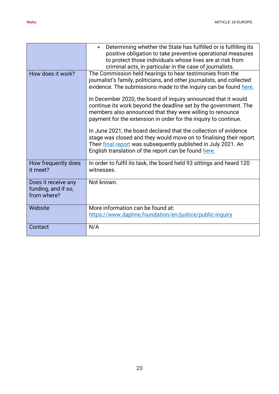|                                                           | Determining whether the State has fulfilled or is fulfilling its<br>positive obligation to take preventive operational measures<br>to protect those individuals whose lives are at risk from<br>criminal acts, in particular in the case of journalists.                                                                                                                                                                                                                                                                                                                                                                 |
|-----------------------------------------------------------|--------------------------------------------------------------------------------------------------------------------------------------------------------------------------------------------------------------------------------------------------------------------------------------------------------------------------------------------------------------------------------------------------------------------------------------------------------------------------------------------------------------------------------------------------------------------------------------------------------------------------|
| How does it work?                                         | The Commission held hearings to hear testimonies from the<br>journalist's family, politicians, and other journalists, and collected<br>evidence. The submissions made to the inquiry can be found here.<br>In December 2020, the board of inquiry announced that it would<br>continue its work beyond the deadline set by the government. The<br>members also announced that they were willing to renounce<br>payment for the extension in order for the inquiry to continue.<br>In June 2021, the board declared that the collection of evidence<br>stage was closed and they would move on to finalising their report. |
|                                                           | Their final report was subsequently published in July 2021. An<br>English translation of the report can be found here.                                                                                                                                                                                                                                                                                                                                                                                                                                                                                                   |
| How frequently does<br>it meet?                           | In order to fulfil its task, the board held 93 sittings and heard 120<br>witnesses.                                                                                                                                                                                                                                                                                                                                                                                                                                                                                                                                      |
| Does it receive any<br>funding, and if so,<br>from where? | Not known.                                                                                                                                                                                                                                                                                                                                                                                                                                                                                                                                                                                                               |
| Website                                                   | More information can be found at:                                                                                                                                                                                                                                                                                                                                                                                                                                                                                                                                                                                        |
|                                                           | https://www.daphne.foundation/en/justice/public-inquiry                                                                                                                                                                                                                                                                                                                                                                                                                                                                                                                                                                  |
| Contact                                                   | N/A                                                                                                                                                                                                                                                                                                                                                                                                                                                                                                                                                                                                                      |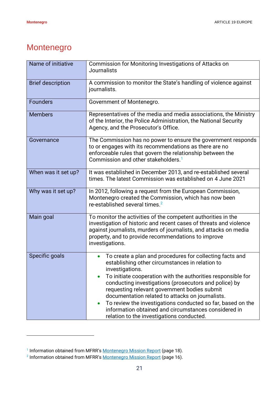#### <span id="page-20-0"></span>Montenegro

| Name of initiative       | Commission for Monitoring Investigations of Attacks on<br><b>Journalists</b>                                                                                                                                                                                                                                                                                                                                                                                                                                                   |
|--------------------------|--------------------------------------------------------------------------------------------------------------------------------------------------------------------------------------------------------------------------------------------------------------------------------------------------------------------------------------------------------------------------------------------------------------------------------------------------------------------------------------------------------------------------------|
| <b>Brief description</b> | A commission to monitor the State's handling of violence against<br>journalists.                                                                                                                                                                                                                                                                                                                                                                                                                                               |
| <b>Founders</b>          | Government of Montenegro.                                                                                                                                                                                                                                                                                                                                                                                                                                                                                                      |
| <b>Members</b>           | Representatives of the media and media associations, the Ministry<br>of the Interior, the Police Administration, the National Security<br>Agency, and the Prosecutor's Office.                                                                                                                                                                                                                                                                                                                                                 |
| Governance               | The Commission has no power to ensure the government responds<br>to or engages with its recommendations as there are no<br>enforceable rules that govern the relationship between the<br>Commission and other stakeholders. <sup>1</sup>                                                                                                                                                                                                                                                                                       |
| When was it set up?      | It was established in December 2013, and re-established several<br>times. The latest Commission was established on 4 June 2021                                                                                                                                                                                                                                                                                                                                                                                                 |
| Why was it set up?       | In 2012, following a request from the European Commission,<br>Montenegro created the Commission, which has now been<br>re-established several times. <sup>2</sup>                                                                                                                                                                                                                                                                                                                                                              |
| Main goal                | To monitor the activities of the competent authorities in the<br>investigation of historic and recent cases of threats and violence<br>against journalists, murders of journalists, and attacks on media<br>property, and to provide recommendations to improve<br>investigations.                                                                                                                                                                                                                                             |
| Specific goals           | To create a plan and procedures for collecting facts and<br>establishing other circumstances in relation to<br>investigations<br>To initiate cooperation with the authorities responsible for<br>conducting investigations (prosecutors and police) by<br>requesting relevant government bodies submit<br>documentation related to attacks on journalists.<br>To review the investigations conducted so far, based on the<br>information obtained and circumstances considered in<br>relation to the investigations conducted. |

<sup>&</sup>lt;sup>1</sup> Information obtained from MFRR's **[Montenegro Mission Report](https://www.ecpmf.eu/wp-content/uploads/2020/12/ECPMF-FFM-Montenegro_2020-FINAL-1.pdf)** (page 18).

<sup>&</sup>lt;sup>2</sup> Information obtained from MFRR's <u>[Montenegro Mission Report](https://www.ecpmf.eu/wp-content/uploads/2020/12/ECPMF-FFM-Montenegro_2020-FINAL-1.pdf)</u> (page 16).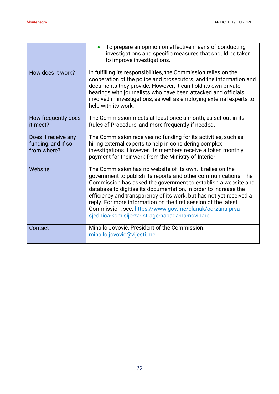|                                                           | To prepare an opinion on effective means of conducting<br>investigations and specific measures that should be taken<br>to improve investigations.                                                                                                                                                                                                                                                                                                                                                                           |
|-----------------------------------------------------------|-----------------------------------------------------------------------------------------------------------------------------------------------------------------------------------------------------------------------------------------------------------------------------------------------------------------------------------------------------------------------------------------------------------------------------------------------------------------------------------------------------------------------------|
| How does it work?                                         | In fulfilling its responsibilities, the Commission relies on the<br>cooperation of the police and prosecutors, and the information and<br>documents they provide. However, it can hold its own private<br>hearings with journalists who have been attacked and officials<br>involved in investigations, as well as employing external experts to<br>help with its work.                                                                                                                                                     |
| How frequently does<br>it meet?                           | The Commission meets at least once a month, as set out in its<br>Rules of Procedure, and more frequently if needed.                                                                                                                                                                                                                                                                                                                                                                                                         |
| Does it receive any<br>funding, and if so,<br>from where? | The Commission receives no funding for its activities, such as<br>hiring external experts to help in considering complex<br>investigations. However, its members receive a token monthly<br>payment for their work from the Ministry of Interior.                                                                                                                                                                                                                                                                           |
| Website                                                   | The Commission has no website of its own. It relies on the<br>government to publish its reports and other communications. The<br>Commission has asked the government to establish a website and<br>database to digitise its documentation, in order to increase the<br>efficiency and transparency of its work, but has not yet received a<br>reply. For more information on the first session of the latest<br>Commission, see: https://www.gov.me/clanak/odrzana-prva-<br>sjednica-komisije-za-istrage-napada-na-novinare |
| Contact                                                   | Mihailo Jovović, President of the Commission:<br>mihailo.jovovic@vijesti.me                                                                                                                                                                                                                                                                                                                                                                                                                                                 |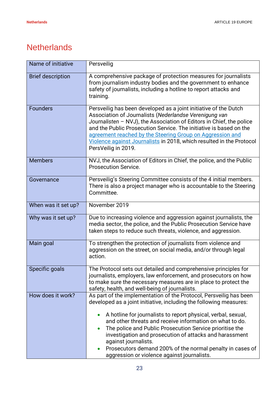#### <span id="page-22-0"></span>**Netherlands**

| Name of initiative       | Persveilig                                                                                                                                                                                                                                                                                                                                                                                                                                                                                                                       |
|--------------------------|----------------------------------------------------------------------------------------------------------------------------------------------------------------------------------------------------------------------------------------------------------------------------------------------------------------------------------------------------------------------------------------------------------------------------------------------------------------------------------------------------------------------------------|
| <b>Brief description</b> | A comprehensive package of protection measures for journalists<br>from journalism industry bodies and the government to enhance<br>safety of journalists, including a hotline to report attacks and<br>training.                                                                                                                                                                                                                                                                                                                 |
| <b>Founders</b>          | Persveilig has been developed as a joint initiative of the Dutch<br>Association of Journalists (Nederlandse Verenigung van<br>Journalisten - NVJ), the Association of Editors in Chief, the police<br>and the Public Prosecution Service. The initiative is based on the<br>agreement reached by the Steering Group on Aggression and<br>Violence against Journalists in 2018, which resulted in the Protocol<br>PersVeilig in 2019.                                                                                             |
| <b>Members</b>           | NVJ, the Association of Editors in Chief, the police, and the Public<br><b>Prosecution Service.</b>                                                                                                                                                                                                                                                                                                                                                                                                                              |
| Governance               | Persveilig's Steering Committee consists of the 4 initial members.<br>There is also a project manager who is accountable to the Steering<br>Committee.                                                                                                                                                                                                                                                                                                                                                                           |
| When was it set up?      | November 2019                                                                                                                                                                                                                                                                                                                                                                                                                                                                                                                    |
| Why was it set up?       | Due to increasing violence and aggression against journalists, the<br>media sector, the police, and the Public Prosecution Service have<br>taken steps to reduce such threats, violence, and aggression.                                                                                                                                                                                                                                                                                                                         |
| Main goal                | To strengthen the protection of journalists from violence and<br>aggression on the street, on social media, and/or through legal<br>action.                                                                                                                                                                                                                                                                                                                                                                                      |
| Specific goals           | The Protocol sets out detailed and comprehensive principles for<br>journalists, employers, law enforcement, and prosecutors on how<br>to make sure the necessary measures are in place to protect the<br>safety, health, and well-being of journalists.                                                                                                                                                                                                                                                                          |
| How does it work?        | As part of the implementation of the Protocol, Persveilig has been<br>developed as a joint initiative, including the following measures:<br>A hotline for journalists to report physical, verbal, sexual,<br>and other threats and receive information on what to do.<br>The police and Public Prosecution Service prioritise the<br>investigation and prosecution of attacks and harassment<br>against journalists.<br>Prosecutors demand 200% of the normal penalty in cases of<br>aggression or violence against journalists. |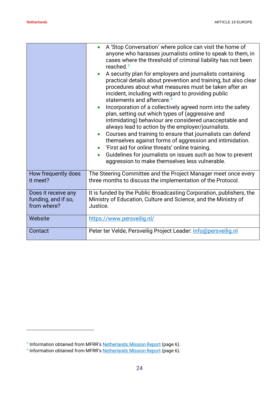|                                                           | A 'Stop Conversation' where police can visit the home of<br>anyone who harasses journalists online to speak to them, in<br>cases where the threshold of criminal liability has not been<br>reached. $3$<br>A security plan for employers and journalists containing<br>practical details about prevention and training, but also clear<br>procedures about what measures must be taken after an<br>incident, including with regard to providing public<br>statements and aftercare. <sup>4</sup><br>Incorporation of a collectively agreed norm into the safety<br>plan, setting out which types of (aggressive and<br>intimidating) behaviour are considered unacceptable and<br>always lead to action by the employer/journalists.<br>Courses and training to ensure that journalists can defend<br>themselves against forms of aggression and intimidation.<br>'First aid for online threats' online training.<br>Guidelines for journalists on issues such as how to prevent<br>aggression to make themselves less vulnerable. |
|-----------------------------------------------------------|------------------------------------------------------------------------------------------------------------------------------------------------------------------------------------------------------------------------------------------------------------------------------------------------------------------------------------------------------------------------------------------------------------------------------------------------------------------------------------------------------------------------------------------------------------------------------------------------------------------------------------------------------------------------------------------------------------------------------------------------------------------------------------------------------------------------------------------------------------------------------------------------------------------------------------------------------------------------------------------------------------------------------------|
| How frequently does<br>it meet?                           | The Steering Committee and the Project Manager meet once every<br>three months to discuss the implementation of the Protocol.                                                                                                                                                                                                                                                                                                                                                                                                                                                                                                                                                                                                                                                                                                                                                                                                                                                                                                      |
| Does it receive any<br>funding, and if so,<br>from where? | It is funded by the Public Broadcasting Corporation, publishers, the<br>Ministry of Education, Culture and Science, and the Ministry of<br>Justice.                                                                                                                                                                                                                                                                                                                                                                                                                                                                                                                                                                                                                                                                                                                                                                                                                                                                                |
| Website                                                   | https://www.persveilig.nl/                                                                                                                                                                                                                                                                                                                                                                                                                                                                                                                                                                                                                                                                                                                                                                                                                                                                                                                                                                                                         |
| Contact                                                   | Peter ter Velde, Persveilig Project Leader: info@persveilig.nl                                                                                                                                                                                                                                                                                                                                                                                                                                                                                                                                                                                                                                                                                                                                                                                                                                                                                                                                                                     |

<sup>&</sup>lt;sup>3</sup> Information obtained from MFRR's [Netherlands Mission Report](https://www.ecpmf.eu/wp-content/uploads/2022/04/Towards-a-safer-haven-Advancing-safety-of-journalists-amidst-rising-threats-in-the-Netherlands.pdf) (page 6).

<sup>&</sup>lt;sup>4</sup> Information obtained from MFRR's [Netherlands Mission Report](https://www.ecpmf.eu/wp-content/uploads/2022/04/Towards-a-safer-haven-Advancing-safety-of-journalists-amidst-rising-threats-in-the-Netherlands.pdf) (page 6).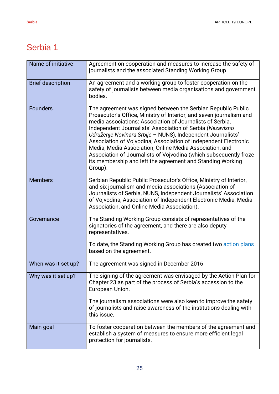<span id="page-24-0"></span>

| Name of initiative       | Agreement on cooperation and measures to increase the safety of<br>journalists and the associated Standing Working Group                                                                                                                                                                                                                                                                                                                                                                                                                                                                                 |
|--------------------------|----------------------------------------------------------------------------------------------------------------------------------------------------------------------------------------------------------------------------------------------------------------------------------------------------------------------------------------------------------------------------------------------------------------------------------------------------------------------------------------------------------------------------------------------------------------------------------------------------------|
| <b>Brief description</b> | An agreement and a working group to foster cooperation on the<br>safety of journalists between media organisations and government<br>bodies.                                                                                                                                                                                                                                                                                                                                                                                                                                                             |
| <b>Founders</b>          | The agreement was signed between the Serbian Republic Public<br>Prosecutor's Office, Ministry of Interior, and seven journalism and<br>media associations: Association of Journalists of Serbia,<br>Independent Journalists' Association of Serbia (Nezavisno<br>Udruženje Novinara Srbije - NUNS), Independent Journalists'<br>Association of Vojvodina, Association of Independent Electronic<br>Media, Media Association, Online Media Association, and<br>Association of Journalists of Vojvodina (which subsequently froze<br>its membership and left the agreement and Standing Working<br>Group). |
| <b>Members</b>           | Serbian Republic Public Prosecutor's Office, Ministry of Interior,<br>and six journalism and media associations (Association of<br>Journalists of Serbia, NUNS, Independent Journalists' Association<br>of Vojvodina, Association of Independent Electronic Media, Media<br>Association, and Online Media Association).                                                                                                                                                                                                                                                                                  |
| Governance               | The Standing Working Group consists of representatives of the<br>signatories of the agreement, and there are also deputy<br>representatives.<br>To date, the Standing Working Group has created two action plans<br>based on the agreement.                                                                                                                                                                                                                                                                                                                                                              |
| When was it set up?      | The agreement was signed in December 2016                                                                                                                                                                                                                                                                                                                                                                                                                                                                                                                                                                |
| Why was it set up?       | The signing of the agreement was envisaged by the Action Plan for<br>Chapter 23 as part of the process of Serbia's accession to the<br>European Union.                                                                                                                                                                                                                                                                                                                                                                                                                                                   |
|                          | The journalism associations were also keen to improve the safety<br>of journalists and raise awareness of the institutions dealing with<br>this issue.                                                                                                                                                                                                                                                                                                                                                                                                                                                   |
| Main goal                | To foster cooperation between the members of the agreement and<br>establish a system of measures to ensure more efficient legal<br>protection for journalists.                                                                                                                                                                                                                                                                                                                                                                                                                                           |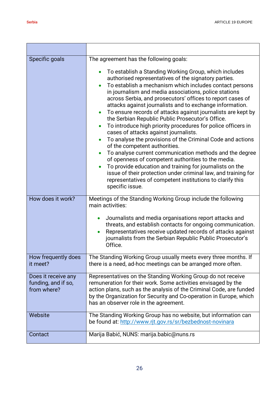| Specific goals                                            | The agreement has the following goals:<br>To establish a Standing Working Group, which includes<br>authorised representatives of the signatory parties.<br>To establish a mechanism which includes contact persons<br>in journalism and media associations, police stations<br>across Serbia, and prosecutors' offices to report cases of<br>attacks against journalists and to exchange information.<br>To ensure records of attacks against journalists are kept by<br>$\bullet$<br>the Serbian Republic Public Prosecutor's Office.<br>To introduce high priority procedures for police officers in<br>cases of attacks against journalists.<br>To analyse the provisions of the Criminal Code and actions<br>of the competent authorities.<br>To analyse current communication methods and the degree<br>of openness of competent authorities to the media.<br>To provide education and training for journalists on the<br>issue of their protection under criminal law, and training for<br>representatives of competent institutions to clarify this<br>specific issue. |
|-----------------------------------------------------------|-------------------------------------------------------------------------------------------------------------------------------------------------------------------------------------------------------------------------------------------------------------------------------------------------------------------------------------------------------------------------------------------------------------------------------------------------------------------------------------------------------------------------------------------------------------------------------------------------------------------------------------------------------------------------------------------------------------------------------------------------------------------------------------------------------------------------------------------------------------------------------------------------------------------------------------------------------------------------------------------------------------------------------------------------------------------------------|
| How does it work?                                         | Meetings of the Standing Working Group include the following<br>main activities:<br>Journalists and media organisations report attacks and<br>threats, and establish contacts for ongoing communication.<br>Representatives receive updated records of attacks against<br>journalists from the Serbian Republic Public Prosecutor's<br>Office.                                                                                                                                                                                                                                                                                                                                                                                                                                                                                                                                                                                                                                                                                                                                |
| How frequently does<br>it meet?                           | The Standing Working Group usually meets every three months. If<br>there is a need, ad-hoc meetings can be arranged more often.                                                                                                                                                                                                                                                                                                                                                                                                                                                                                                                                                                                                                                                                                                                                                                                                                                                                                                                                               |
| Does it receive any<br>funding, and if so,<br>from where? | Representatives on the Standing Working Group do not receive<br>remuneration for their work. Some activities envisaged by the<br>action plans, such as the analysis of the Criminal Code, are funded<br>by the Organization for Security and Co-operation in Europe, which<br>has an observer role in the agreement.                                                                                                                                                                                                                                                                                                                                                                                                                                                                                                                                                                                                                                                                                                                                                          |
| Website                                                   | The Standing Working Group has no website, but information can<br>be found at: http://www.rjt.gov.rs/sr/bezbednost-novinara                                                                                                                                                                                                                                                                                                                                                                                                                                                                                                                                                                                                                                                                                                                                                                                                                                                                                                                                                   |
| Contact                                                   | Marija Babić, NUNS: marija.babic@nuns.rs                                                                                                                                                                                                                                                                                                                                                                                                                                                                                                                                                                                                                                                                                                                                                                                                                                                                                                                                                                                                                                      |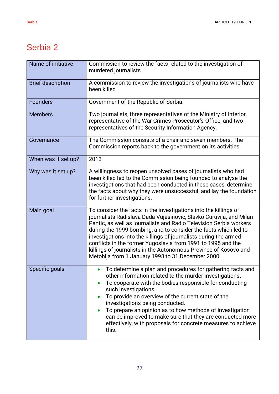| Name of initiative       | Commission to review the facts related to the investigation of<br>murdered journalists                                                                                                                                                                                                                                                                                                                                                                                                                                                       |
|--------------------------|----------------------------------------------------------------------------------------------------------------------------------------------------------------------------------------------------------------------------------------------------------------------------------------------------------------------------------------------------------------------------------------------------------------------------------------------------------------------------------------------------------------------------------------------|
| <b>Brief description</b> | A commission to review the investigations of journalists who have<br>been killed                                                                                                                                                                                                                                                                                                                                                                                                                                                             |
| <b>Founders</b>          | Government of the Republic of Serbia.                                                                                                                                                                                                                                                                                                                                                                                                                                                                                                        |
| <b>Members</b>           | Two journalists, three representatives of the Ministry of Interior,<br>representative of the War Crimes Prosecutor's Office, and two<br>representatives of the Security Information Agency.                                                                                                                                                                                                                                                                                                                                                  |
| Governance               | The Commission consists of a chair and seven members. The<br>Commission reports back to the government on its activities.                                                                                                                                                                                                                                                                                                                                                                                                                    |
| When was it set up?      | 2013                                                                                                                                                                                                                                                                                                                                                                                                                                                                                                                                         |
| Why was it set up?       | A willingness to reopen unsolved cases of journalists who had<br>been killed led to the Commission being founded to analyse the<br>investigations that had been conducted in these cases, determine<br>the facts about why they were unsuccessful, and lay the foundation<br>for further investigations.                                                                                                                                                                                                                                     |
| Main goal                | To consider the facts in the investigations into the killings of<br>journalists Radislava Dada Vujasinovic, Slavko Curuvija, and Milan<br>Pantic, as well as journalists and Radio Television Serbia workers<br>during the 1999 bombing, and to consider the facts which led to<br>investigations into the killings of journalists during the armed<br>conflicts in the former Yugoslavia from 1991 to 1995 and the<br>killings of journalists in the Autonomous Province of Kosovo and<br>Metohija from 1 January 1998 to 31 December 2000. |
| Specific goals           | • To determine a plan and procedures for gathering facts and<br>other information related to the murder investigations.<br>To cooperate with the bodies responsible for conducting<br>such investigations.<br>To provide an overview of the current state of the<br>investigations being conducted.<br>To prepare an opinion as to how methods of investigation<br>can be improved to make sure that they are conducted more<br>effectively, with proposals for concrete measures to achieve<br>this.                                        |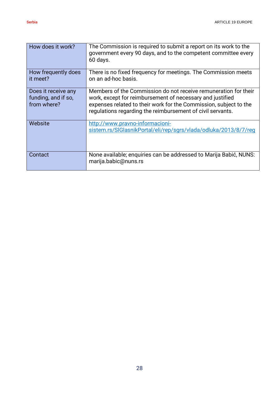| How does it work?                                         | The Commission is required to submit a report on its work to the<br>government every 90 days, and to the competent committee every<br>60 days.                                                                                                                  |
|-----------------------------------------------------------|-----------------------------------------------------------------------------------------------------------------------------------------------------------------------------------------------------------------------------------------------------------------|
| How frequently does<br>it meet?                           | There is no fixed frequency for meetings. The Commission meets<br>on an ad-hoc basis.                                                                                                                                                                           |
| Does it receive any<br>funding, and if so,<br>from where? | Members of the Commission do not receive remuneration for their<br>work, except for reimbursement of necessary and justified<br>expenses related to their work for the Commission, subject to the<br>regulations regarding the reimbursement of civil servants. |
| Website                                                   | http://www.pravno-informacioni-<br>sistem.rs/SIGlasnikPortal/eli/rep/sqrs/vlada/odluka/2013/8/7/req                                                                                                                                                             |
| Contact                                                   | None available; enquiries can be addressed to Marija Babić, NUNS:<br>marija.babic@nuns.rs                                                                                                                                                                       |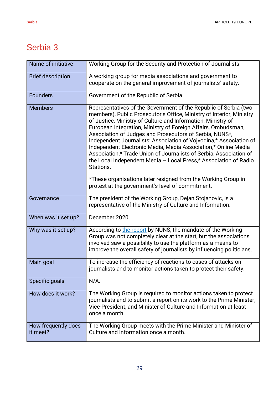| Name of initiative              | Working Group for the Security and Protection of Journalists                                                                                                                                                                                                                                                                                                                                                                                                                                                                                                                                                                                                                                                                                             |
|---------------------------------|----------------------------------------------------------------------------------------------------------------------------------------------------------------------------------------------------------------------------------------------------------------------------------------------------------------------------------------------------------------------------------------------------------------------------------------------------------------------------------------------------------------------------------------------------------------------------------------------------------------------------------------------------------------------------------------------------------------------------------------------------------|
| <b>Brief description</b>        | A working group for media associations and government to<br>cooperate on the general improvement of journalists' safety.                                                                                                                                                                                                                                                                                                                                                                                                                                                                                                                                                                                                                                 |
| <b>Founders</b>                 | Government of the Republic of Serbia                                                                                                                                                                                                                                                                                                                                                                                                                                                                                                                                                                                                                                                                                                                     |
| <b>Members</b>                  | Representatives of the Government of the Republic of Serbia (two<br>members), Public Prosecutor's Office, Ministry of Interior, Ministry<br>of Justice, Ministry of Culture and Information, Ministry of<br>European Integration, Ministry of Foreign Affairs, Ombudsman,<br>Association of Judges and Prosecutors of Serbia, NUNS*,<br>Independent Journalists' Association of Vojvodina,* Association of<br>Independent Electronic Media, Media Association,* Online Media<br>Association,* Trade Union of Journalists of Serbia, Association of<br>the Local Independent Media - Local Press,* Association of Radio<br>Stations.<br>*These organisations later resigned from the Working Group in<br>protest at the government's level of commitment. |
|                                 |                                                                                                                                                                                                                                                                                                                                                                                                                                                                                                                                                                                                                                                                                                                                                          |
| Governance                      | The president of the Working Group, Dejan Stojanovic, is a<br>representative of the Ministry of Culture and Information.                                                                                                                                                                                                                                                                                                                                                                                                                                                                                                                                                                                                                                 |
| When was it set up?             | December 2020                                                                                                                                                                                                                                                                                                                                                                                                                                                                                                                                                                                                                                                                                                                                            |
| Why was it set up?              | According to the report by NUNS, the mandate of the Working<br>Group was not completely clear at the start, but the associations<br>involved saw a possibility to use the platform as a means to<br>improve the overall safety of journalists by influencing politicians.                                                                                                                                                                                                                                                                                                                                                                                                                                                                                |
| Main goal                       | To increase the efficiency of reactions to cases of attacks on<br>journalists and to monitor actions taken to protect their safety.                                                                                                                                                                                                                                                                                                                                                                                                                                                                                                                                                                                                                      |
| Specific goals                  | $N/A$ .                                                                                                                                                                                                                                                                                                                                                                                                                                                                                                                                                                                                                                                                                                                                                  |
| How does it work?               | The Working Group is required to monitor actions taken to protect<br>journalists and to submit a report on its work to the Prime Minister,<br>Vice-President, and Minister of Culture and Information at least<br>once a month.                                                                                                                                                                                                                                                                                                                                                                                                                                                                                                                          |
| How frequently does<br>it meet? | The Working Group meets with the Prime Minister and Minister of<br>Culture and Information once a month.                                                                                                                                                                                                                                                                                                                                                                                                                                                                                                                                                                                                                                                 |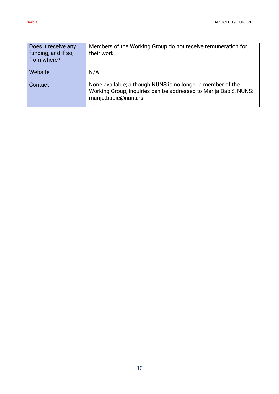| Does it receive any<br>funding, and if so,<br>from where? | Members of the Working Group do not receive remuneration for<br>their work.                                                                            |
|-----------------------------------------------------------|--------------------------------------------------------------------------------------------------------------------------------------------------------|
| Website                                                   | N/A                                                                                                                                                    |
| Contact                                                   | None available; although NUNS is no longer a member of the<br>Working Group, inquiries can be addressed to Marija Babić, NUNS:<br>marija.babic@nuns.rs |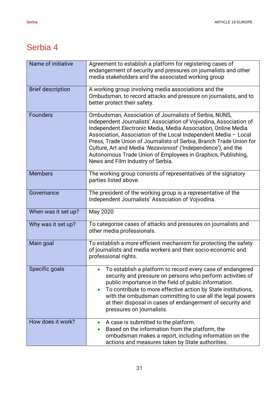| Name of initiative       | Agreement to establish a platform for registering cases of<br>endangerment of security and pressures on journalists and other<br>media stakeholders and the associated working group                                                                                                                                                                                                                                                                                                                          |
|--------------------------|---------------------------------------------------------------------------------------------------------------------------------------------------------------------------------------------------------------------------------------------------------------------------------------------------------------------------------------------------------------------------------------------------------------------------------------------------------------------------------------------------------------|
| <b>Brief description</b> | A working group involving media associations and the<br>Ombudsman, to record attacks and pressure on journalists, and to<br>better protect their safety.                                                                                                                                                                                                                                                                                                                                                      |
| <b>Founders</b>          | Ombudsman, Association of Journalists of Serbia, NUNS,<br>Independent Journalists' Association of Vojvodina, Association of<br>Independent Electronic Media, Media Association, Online Media<br>Association, Association of the Local Independent Media - Local<br>Press, Trade Union of Journalists of Serbia, Branch Trade Union for<br>Culture, Art and Media 'Nezavisnost' ('Independence'), and the<br>Autonomous Trade Union of Employees in Graphics, Publishing,<br>News and Film Industry of Serbia. |
| <b>Members</b>           | The working group consists of representatives of the signatory<br>parties listed above.                                                                                                                                                                                                                                                                                                                                                                                                                       |
| Governance               | The president of the working group is a representative of the<br>Independent Journalists' Association of Vojvodina.                                                                                                                                                                                                                                                                                                                                                                                           |
| When was it set up?      | May 2020                                                                                                                                                                                                                                                                                                                                                                                                                                                                                                      |
| Why was it set up?       | To categorise cases of attacks and pressures on journalists and<br>other media professionals.                                                                                                                                                                                                                                                                                                                                                                                                                 |
| Main goal                | To establish a more efficient mechanism for protecting the safety<br>of journalists and media workers and their socio-economic and<br>professional rights.                                                                                                                                                                                                                                                                                                                                                    |
| Specific goals           | To establish a platform to record every case of endangered<br>security and pressure on persons who perform activities of<br>public importance in the field of public information.<br>To contribute to more effective action by State institutions,<br>with the ombudsman committing to use all the legal powers<br>at their disposal in cases of endangerment of security and<br>pressures on journalists.                                                                                                    |
| How does it work?        | A case is submitted to the platform.<br>Based on the information from the platform, the<br>ombudsman makes a report, including information on the<br>actions and measures taken by State authorities.                                                                                                                                                                                                                                                                                                         |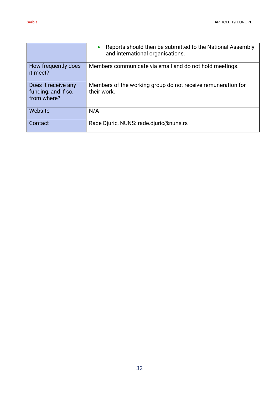|                                                           | Reports should then be submitted to the National Assembly<br>and international organisations. |
|-----------------------------------------------------------|-----------------------------------------------------------------------------------------------|
| How frequently does<br>it meet?                           | Members communicate via email and do not hold meetings.                                       |
| Does it receive any<br>funding, and if so,<br>from where? | Members of the working group do not receive remuneration for<br>their work.                   |
| Website                                                   | N/A                                                                                           |
| Contact                                                   | Rade Djuric, NUNS: rade.djuric@nuns.rs                                                        |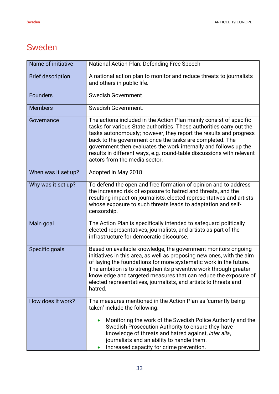#### <span id="page-32-0"></span>Sweden

| Name of initiative       | National Action Plan: Defending Free Speech                                                                                                                                                                                                                                                                                                                                                                                                               |
|--------------------------|-----------------------------------------------------------------------------------------------------------------------------------------------------------------------------------------------------------------------------------------------------------------------------------------------------------------------------------------------------------------------------------------------------------------------------------------------------------|
| <b>Brief description</b> | A national action plan to monitor and reduce threats to journalists<br>and others in public life.                                                                                                                                                                                                                                                                                                                                                         |
| <b>Founders</b>          | Swedish Government.                                                                                                                                                                                                                                                                                                                                                                                                                                       |
| <b>Members</b>           | Swedish Government.                                                                                                                                                                                                                                                                                                                                                                                                                                       |
| Governance               | The actions included in the Action Plan mainly consist of specific<br>tasks for various State authorities. These authorities carry out the<br>tasks autonomously; however, they report the results and progress<br>back to the government once the tasks are completed. The<br>government then evaluates the work internally and follows up the<br>results in different ways, e.g. round-table discussions with relevant<br>actors from the media sector. |
| When was it set up?      | Adopted in May 2018                                                                                                                                                                                                                                                                                                                                                                                                                                       |
| Why was it set up?       | To defend the open and free formation of opinion and to address<br>the increased risk of exposure to hatred and threats, and the<br>resulting impact on journalists, elected representatives and artists<br>whose exposure to such threats leads to adaptation and self-<br>censorship.                                                                                                                                                                   |
| Main goal                | The Action Plan is specifically intended to safeguard politically<br>elected representatives, journalists, and artists as part of the<br>infrastructure for democratic discourse.                                                                                                                                                                                                                                                                         |
| Specific goals           | Based on available knowledge, the government monitors ongoing<br>initiatives in this area, as well as proposing new ones, with the aim<br>of laying the foundations for more systematic work in the future.<br>The ambition is to strengthen its preventive work through greater<br>knowledge and targeted measures that can reduce the exposure of<br>elected representatives, journalists, and artists to threats and<br>hatred.                        |
| How does it work?        | The measures mentioned in the Action Plan as 'currently being<br>taken' include the following:                                                                                                                                                                                                                                                                                                                                                            |
|                          | Monitoring the work of the Swedish Police Authority and the<br>Swedish Prosecution Authority to ensure they have<br>knowledge of threats and hatred against, inter alia,<br>journalists and an ability to handle them.<br>Increased capacity for crime prevention.                                                                                                                                                                                        |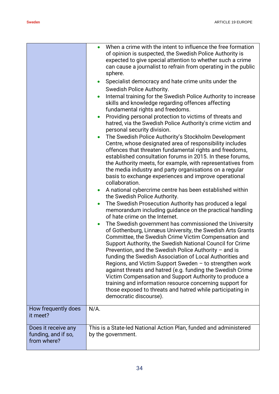|                                                           | When a crime with the intent to influence the free formation<br>of opinion is suspected, the Swedish Police Authority is<br>expected to give special attention to whether such a crime<br>can cause a journalist to refrain from operating in the public<br>sphere.<br>Specialist democracy and hate crime units under the<br>Swedish Police Authority.<br>Internal training for the Swedish Police Authority to increase<br>skills and knowledge regarding offences affecting<br>fundamental rights and freedoms.<br>Providing personal protection to victims of threats and<br>hatred, via the Swedish Police Authority's crime victim and<br>personal security division.<br>The Swedish Police Authority's Stockholm Development<br>Centre, whose designated area of responsibility includes<br>offences that threaten fundamental rights and freedoms,<br>established consultation forums in 2015. In these forums,<br>the Authority meets, for example, with representatives from<br>the media industry and party organisations on a regular<br>basis to exchange experiences and improve operational<br>collaboration.<br>A national cybercrime centre has been established within<br>the Swedish Police Authority.<br>The Swedish Prosecution Authority has produced a legal<br>memorandum including guidance on the practical handling<br>of hate crime on the Internet.<br>The Swedish government has commissioned the University<br>$\bullet$<br>of Gothenburg, Linnæus University, the Swedish Arts Grants<br>Committee, the Swedish Crime Victim Compensation and<br>Support Authority, the Swedish National Council for Crime<br>Prevention, and the Swedish Police Authority $-$ and is<br>funding the Swedish Association of Local Authorities and<br>Regions, and Victim Support Sweden - to strengthen work<br>against threats and hatred (e.g. funding the Swedish Crime<br>Victim Compensation and Support Authority to produce a<br>training and information resource concerning support for<br>those exposed to threats and hatred while participating in<br>democratic discourse). |
|-----------------------------------------------------------|----------------------------------------------------------------------------------------------------------------------------------------------------------------------------------------------------------------------------------------------------------------------------------------------------------------------------------------------------------------------------------------------------------------------------------------------------------------------------------------------------------------------------------------------------------------------------------------------------------------------------------------------------------------------------------------------------------------------------------------------------------------------------------------------------------------------------------------------------------------------------------------------------------------------------------------------------------------------------------------------------------------------------------------------------------------------------------------------------------------------------------------------------------------------------------------------------------------------------------------------------------------------------------------------------------------------------------------------------------------------------------------------------------------------------------------------------------------------------------------------------------------------------------------------------------------------------------------------------------------------------------------------------------------------------------------------------------------------------------------------------------------------------------------------------------------------------------------------------------------------------------------------------------------------------------------------------------------------------------------------------------------------------------------------------------------------------------------------------------|
| How frequently does<br>it meet?                           | $N/A$ .                                                                                                                                                                                                                                                                                                                                                                                                                                                                                                                                                                                                                                                                                                                                                                                                                                                                                                                                                                                                                                                                                                                                                                                                                                                                                                                                                                                                                                                                                                                                                                                                                                                                                                                                                                                                                                                                                                                                                                                                                                                                                                  |
| Does it receive any<br>funding, and if so,<br>from where? | This is a State-led National Action Plan, funded and administered<br>by the government.                                                                                                                                                                                                                                                                                                                                                                                                                                                                                                                                                                                                                                                                                                                                                                                                                                                                                                                                                                                                                                                                                                                                                                                                                                                                                                                                                                                                                                                                                                                                                                                                                                                                                                                                                                                                                                                                                                                                                                                                                  |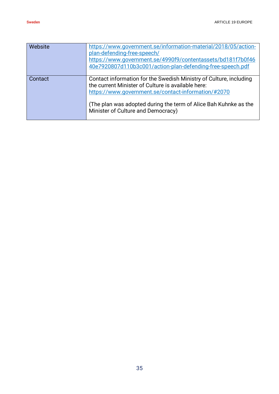| <b>Website</b> | https://www.government.se/information-material/2018/05/action-<br>plan-defending-free-speech/<br>https://www.government.se/4990f9/contentassets/bd181f7b0f46<br>40e7920807d110b3c001/action-plan-defending-free-speech.pdf                                                                |
|----------------|-------------------------------------------------------------------------------------------------------------------------------------------------------------------------------------------------------------------------------------------------------------------------------------------|
| Contact        | Contact information for the Swedish Ministry of Culture, including<br>the current Minister of Culture is available here:<br>https://www.government.se/contact-information/#2070<br>(The plan was adopted during the term of Alice Bah Kuhnke as the<br>Minister of Culture and Democracy) |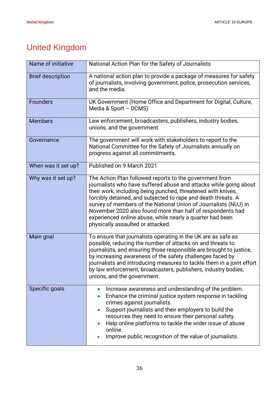# <span id="page-35-0"></span>United Kingdom

| Name of initiative       | National Action Plan for the Safety of Journalists                                                                                                                                                                                                                                                                                                                                                                                                                                               |
|--------------------------|--------------------------------------------------------------------------------------------------------------------------------------------------------------------------------------------------------------------------------------------------------------------------------------------------------------------------------------------------------------------------------------------------------------------------------------------------------------------------------------------------|
| <b>Brief description</b> | A national action plan to provide a package of measures for safety<br>of journalists, involving government, police, prosecution services,<br>and the media.                                                                                                                                                                                                                                                                                                                                      |
| <b>Founders</b>          | UK Government (Home Office and Department for Digital, Culture,<br>Media & Sport - DCMS)                                                                                                                                                                                                                                                                                                                                                                                                         |
| <b>Members</b>           | Law enforcement, broadcasters, publishers, industry bodies,<br>unions, and the government.                                                                                                                                                                                                                                                                                                                                                                                                       |
| Governance               | The government will work with stakeholders to report to the<br>National Committee for the Safety of Journalists annually on<br>progress against all commitments.                                                                                                                                                                                                                                                                                                                                 |
| When was it set up?      | Published on 9 March 2021                                                                                                                                                                                                                                                                                                                                                                                                                                                                        |
| Why was it set up?       | The Action Plan followed reports to the government from<br>journalists who have suffered abuse and attacks while going about<br>their work, including being punched, threatened with knives,<br>forcibly detained, and subjected to rape and death threats. A<br>survey of members of the National Union of Journalists (NUJ) in<br>November 2020 also found more than half of respondents had<br>experienced online abuse, while nearly a quarter had been<br>physically assaulted or attacked. |
| Main goal                | To ensure that journalists operating in the UK are as safe as<br>possible, reducing the number of attacks on and threats to<br>journalists, and ensuring those responsible are brought to justice,<br>by increasing awareness of the safety challenges faced by<br>journalists and introducing measures to tackle them in a joint effort<br>by law enforcement, broadcasters, publishers, industry bodies,<br>unions, and the government.                                                        |
| Specific goals           | Increase awareness and understanding of the problem.<br>$\bullet$<br>Enhance the criminal justice system response in tackling<br>crimes against journalists.<br>Support journalists and their employers to build the<br>$\bullet$<br>resources they need to ensure their personal safety.<br>Help online platforms to tackle the wider issue of abuse<br>online.<br>Improve public recognition of the value of journalists.                                                                      |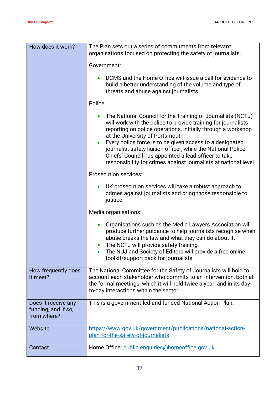| How does it work?                                         | The Plan sets out a series of commitments from relevant<br>organisations focused on protecting the safety of journalists.                                                                                                                                                                                                                                                                                                                                                                |
|-----------------------------------------------------------|------------------------------------------------------------------------------------------------------------------------------------------------------------------------------------------------------------------------------------------------------------------------------------------------------------------------------------------------------------------------------------------------------------------------------------------------------------------------------------------|
|                                                           | Government:                                                                                                                                                                                                                                                                                                                                                                                                                                                                              |
|                                                           | DCMS and the Home Office will issue a call for evidence to<br>build a better understanding of the volume and type of<br>threats and abuse against journalists.                                                                                                                                                                                                                                                                                                                           |
|                                                           | Police:                                                                                                                                                                                                                                                                                                                                                                                                                                                                                  |
|                                                           | The National Council for the Training of Journalists (NCTJ)<br>will work with the police to provide training for journalists<br>reporting on police operations, initially through a workshop<br>at the University of Portsmouth.<br>Every police force is to be given access to a designated<br>journalist safety liaison officer, while the National Police<br>Chiefs' Council has appointed a lead officer to take<br>responsibility for crimes against journalists at national level. |
|                                                           | <b>Prosecution services:</b>                                                                                                                                                                                                                                                                                                                                                                                                                                                             |
|                                                           | UK prosecution services will take a robust approach to<br>crimes against journalists and bring those responsible to<br>justice.                                                                                                                                                                                                                                                                                                                                                          |
|                                                           | Media organisations:                                                                                                                                                                                                                                                                                                                                                                                                                                                                     |
|                                                           | Organisations such as the Media Lawyers Association will<br>produce further guidance to help journalists recognise when<br>abuse breaks the law and what they can do about it.<br>The NCTJ will provide safety training.<br>The NUJ and Society of Editors will provide a free online<br>toolkit/support pack for journalists.                                                                                                                                                           |
| How frequently does<br>it meet?                           | The National Committee for the Safety of Journalists will hold to<br>account each stakeholder who commits to an intervention, both at<br>the formal meetings, which it will hold twice a year, and in its day-<br>to-day interactions within the sector.                                                                                                                                                                                                                                 |
| Does it receive any<br>funding, and if so,<br>from where? | This is a government-led and funded National Action Plan.                                                                                                                                                                                                                                                                                                                                                                                                                                |
| Website                                                   | https://www.gov.uk/government/publications/national-action-<br>plan-for-the-safety-of-journalists                                                                                                                                                                                                                                                                                                                                                                                        |
| Contact                                                   | Home Office: public.enquiries@homeoffice.gov.uk                                                                                                                                                                                                                                                                                                                                                                                                                                          |